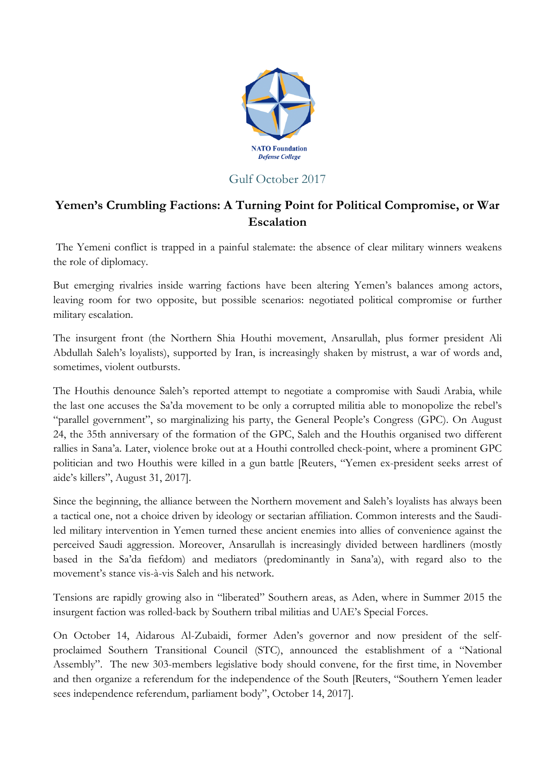

## Gulf October 2017

## **Yemen's Crumbling Factions: A Turning Point for Political Compromise, or War Escalation**

The Yemeni conflict is trapped in a painful stalemate: the absence of clear military winners weakens the role of diplomacy.

But emerging rivalries inside warring factions have been altering Yemen's balances among actors, leaving room for two opposite, but possible scenarios: negotiated political compromise or further military escalation.

The insurgent front (the Northern Shia Houthi movement, Ansarullah, plus former president Ali Abdullah Saleh's loyalists), supported by Iran, is increasingly shaken by mistrust, a war of words and, sometimes, violent outbursts.

The Houthis denounce Saleh's reported attempt to negotiate a compromise with Saudi Arabia, while the last one accuses the Sa'da movement to be only a corrupted militia able to monopolize the rebel's "parallel government", so marginalizing his party, the General People's Congress (GPC). On August 24, the 35th anniversary of the formation of the GPC, Saleh and the Houthis organised two different rallies in Sana'a. Later, violence broke out at a Houthi controlled check-point, where a prominent GPC politician and two Houthis were killed in a gun battle [Reuters, "Yemen ex-president seeks arrest of aide's killers", August 31, 2017].

Since the beginning, the alliance between the Northern movement and Saleh's loyalists has always been a tactical one, not a choice driven by ideology or sectarian affiliation. Common interests and the Saudiled military intervention in Yemen turned these ancient enemies into allies of convenience against the perceived Saudi aggression. Moreover, Ansarullah is increasingly divided between hardliners (mostly based in the Sa'da fiefdom) and mediators (predominantly in Sana'a), with regard also to the movement's stance vis-à-vis Saleh and his network.

Tensions are rapidly growing also in "liberated" Southern areas, as Aden, where in Summer 2015 the insurgent faction was rolled-back by Southern tribal militias and UAE's Special Forces.

On October 14, Aidarous Al-Zubaidi, former Aden's governor and now president of the selfproclaimed Southern Transitional Council (STC), announced the establishment of a "National Assembly". The new 303-members legislative body should convene, for the first time, in November and then organize a referendum for the independence of the South [Reuters, "Southern Yemen leader sees independence referendum, parliament body", October 14, 2017].